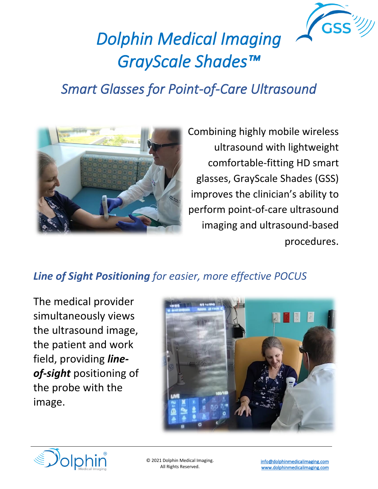

# *Dolphin Medical Imaging GrayScale Shades™*

# *Smart Glasses for Point-of-Care Ultrasound*



Combining highly mobile wireless ultrasound with lightweight comfortable-fitting HD smart glasses, GrayScale Shades (GSS) improves the clinician's ability to perform point-of-care ultrasound imaging and ultrasound-based procedures.

# *Line of Sight Positioning for easier, more effective POCUS*

The medical provider simultaneously views the ultrasound image, the patient and work field, providing *lineof-sight* positioning of the probe with the image.



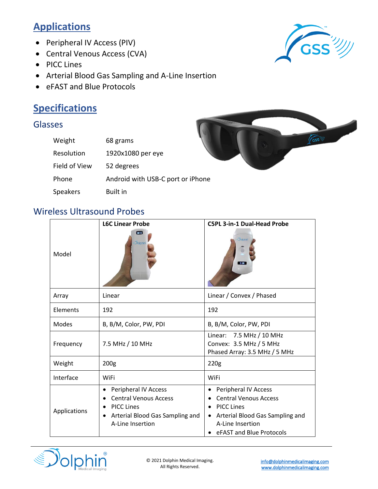## **Applications**

- Peripheral IV Access (PIV)
- Central Venous Access (CVA)
- PICC Lines
- Arterial Blood Gas Sampling and A-Line Insertion
- eFAST and Blue Protocols

## **Specifications**

#### Glasses

| Weight        | 68 grams                          |  |
|---------------|-----------------------------------|--|
| Resolution    | 1920x1080 per eye                 |  |
| Field of View | 52 degrees                        |  |
| Phone         | Android with USB-C port or iPhone |  |
| Speakers      | <b>Built in</b>                   |  |





#### Wireless Ultrasound Probes

| <b>L6C Linear Probe</b> |                                                                                                                                       | <b>C5PL 3-in-1 Dual-Head Probe</b>                                                                                                                           |  |
|-------------------------|---------------------------------------------------------------------------------------------------------------------------------------|--------------------------------------------------------------------------------------------------------------------------------------------------------------|--|
| Model                   | $\blacksquare$<br>Dolphin                                                                                                             | Dolphin<br>$2-000$                                                                                                                                           |  |
| Array                   | Linear                                                                                                                                | Linear / Convex / Phased                                                                                                                                     |  |
| Elements                | 192                                                                                                                                   | 192                                                                                                                                                          |  |
| Modes                   | B, B/M, Color, PW, PDI                                                                                                                | B, B/M, Color, PW, PDI                                                                                                                                       |  |
| Frequency               | 7.5 MHz / 10 MHz                                                                                                                      | Linear: 7.5 MHz / 10 MHz<br>Convex: 3.5 MHz / 5 MHz<br>Phased Array: 3.5 MHz / 5 MHz                                                                         |  |
| Weight                  | 200 <sub>g</sub>                                                                                                                      | 220g                                                                                                                                                         |  |
| Interface               | WiFi                                                                                                                                  | WiFi                                                                                                                                                         |  |
| Applications            | Peripheral IV Access<br>٠<br><b>Central Venous Access</b><br><b>PICC Lines</b><br>Arterial Blood Gas Sampling and<br>A-Line Insertion | Peripheral IV Access<br><b>Central Venous Access</b><br><b>PICC Lines</b><br>Arterial Blood Gas Sampling and<br>A-Line Insertion<br>eFAST and Blue Protocols |  |

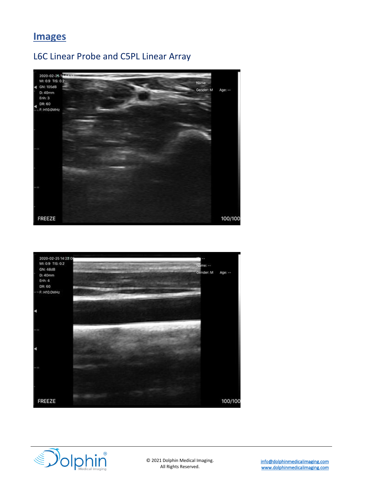#### **Images**

#### L6C Linear Probe and C5PL Linear Array







© 2021 Dolphin Medical Imaging. All Rights Reserved.

[info@dolphinmedicalimaging.com](mailto:info@dolphinmedicalimaging.com)  [www.dolphinmedicalimaging.com](http://www.dolphinmedicalimaging.com/)